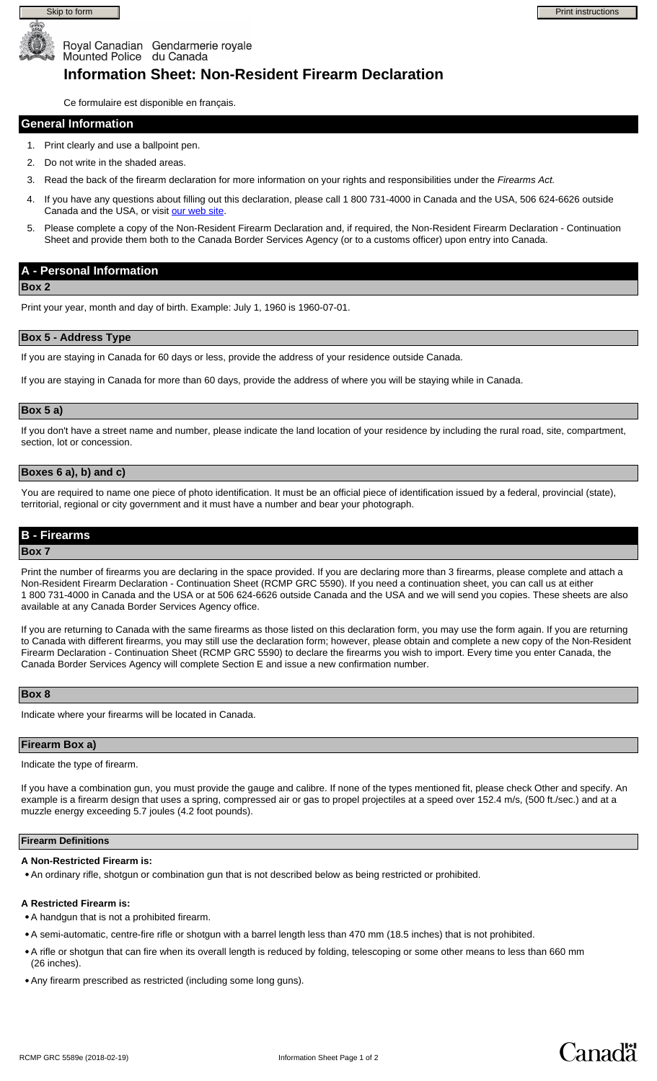



Canadä

# Mounted Police du Canada **Information Sheet: Non-Resident Firearm Declaration**

Ce formulaire est disponible en français.

Royal Canadian Gendarmerie royale

#### **General Information**

- 1. Print clearly and use a ballpoint pen.
- 2. Do not write in the shaded areas.
- 3. Read the back of the firearm declaration for more information on your rights and responsibilities under the *Firearms Act.*
- 4. If you have any questions about filling out this declaration, please call 1 800 731-4000 in Canada and the USA, 506 624-6626 outside Canada and the USA, or visit [our web site](http://www.rcmp.gc.ca/cfp).
- 5. Please complete a copy of the Non-Resident Firearm Declaration and, if required, the Non-Resident Firearm Declaration Continuation Sheet and provide them both to the Canada Border Services Agency (or to a customs officer) upon entry into Canada.

# **A - Personal Information**

**Box 2**

Print your year, month and day of birth. Example: July 1, 1960 is 1960-07-01.

#### **Box 5 - Address Type**

If you are staying in Canada for 60 days or less, provide the address of your residence outside Canada.

If you are staying in Canada for more than 60 days, provide the address of where you will be staying while in Canada.

#### **Box 5 a)**

If you don't have a street name and number, please indicate the land location of your residence by including the rural road, site, compartment, section, lot or concession.

#### **Boxes 6 a), b) and c)**

You are required to name one piece of photo identification. It must be an official piece of identification issued by a federal, provincial (state), territorial, regional or city government and it must have a number and bear your photograph.

### **B - Firearms**

#### **Box 7**

Print the number of firearms you are declaring in the space provided. If you are declaring more than 3 firearms, please complete and attach a Non-Resident Firearm Declaration - Continuation Sheet (RCMP GRC 5590). If you need a continuation sheet, you can call us at either 1 800 731-4000 in Canada and the USA or at 506 624-6626 outside Canada and the USA and we will send you copies. These sheets are also available at any Canada Border Services Agency office.

If you are returning to Canada with the same firearms as those listed on this declaration form, you may use the form again. If you are returning to Canada with different firearms, you may still use the declaration form; however, please obtain and complete a new copy of the Non-Resident Firearm Declaration - Continuation Sheet (RCMP GRC 5590) to declare the firearms you wish to import. Every time you enter Canada, the Canada Border Services Agency will complete Section E and issue a new confirmation number.

#### **Box 8**

Indicate where your firearms will be located in Canada.

#### **Firearm Box a)**

Indicate the type of firearm.

If you have a combination gun, you must provide the gauge and calibre. If none of the types mentioned fit, please check Other and specify. An example is a firearm design that uses a spring, compressed air or gas to propel projectiles at a speed over 152.4 m/s, (500 ft./sec.) and at a muzzle energy exceeding 5.7 joules (4.2 foot pounds).

#### **Firearm Definitions**

#### **A Non-Restricted Firearm is:**

An ordinary rifle, shotgun or combination gun that is not described below as being restricted or prohibited.

#### **A Restricted Firearm is:**

- A handgun that is not a prohibited firearm.
- A semi-automatic, centre-fire rifle or shotgun with a barrel length less than 470 mm (18.5 inches) that is not prohibited.
- A rifle or shotgun that can fire when its overall length is reduced by folding, telescoping or some other means to less than 660 mm (26 inches).
- Any firearm prescribed as restricted (including some long guns).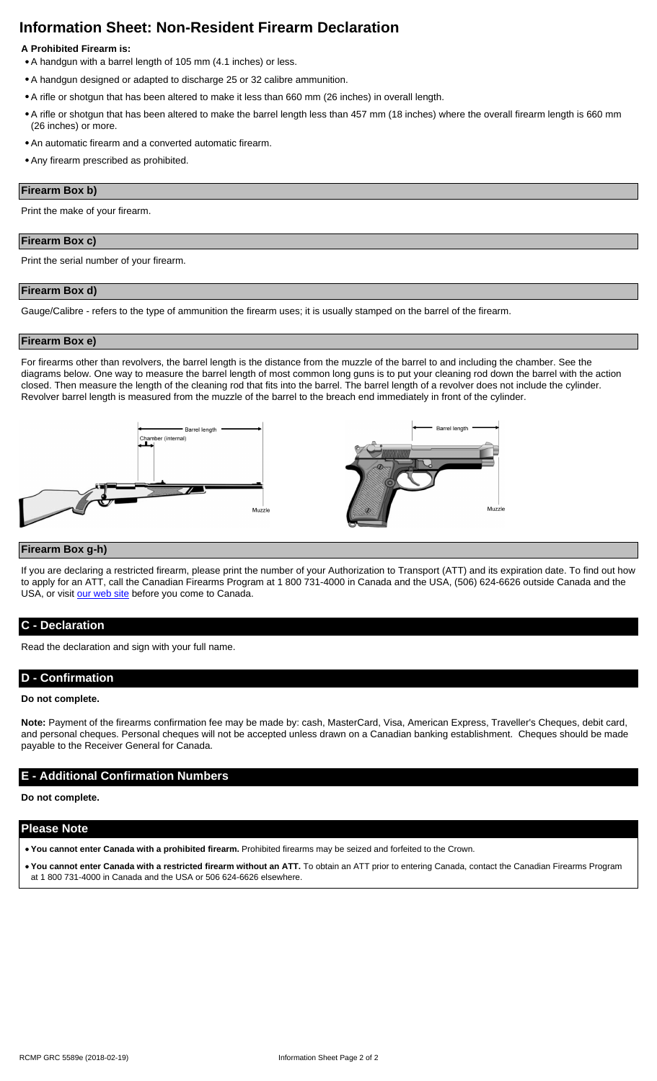# **Information Sheet: Non-Resident Firearm Declaration**

# **A Prohibited Firearm is:**

- A handgun with a barrel length of 105 mm (4.1 inches) or less.
- A handgun designed or adapted to discharge 25 or 32 calibre ammunition.
- A rifle or shotgun that has been altered to make it less than 660 mm (26 inches) in overall length.
- A rifle or shotgun that has been altered to make the barrel length less than 457 mm (18 inches) where the overall firearm length is 660 mm (26 inches) or more.
- An automatic firearm and a converted automatic firearm.
- Any firearm prescribed as prohibited.

#### **Firearm Box b)**

Print the make of your firearm.

#### **Firearm Box c)**

Print the serial number of your firearm.

#### **Firearm Box d)**

Gauge/Calibre - refers to the type of ammunition the firearm uses; it is usually stamped on the barrel of the firearm.

#### **Firearm Box e)**

For firearms other than revolvers, the barrel length is the distance from the muzzle of the barrel to and including the chamber. See the diagrams below. One way to measure the barrel length of most common long guns is to put your cleaning rod down the barrel with the action closed. Then measure the length of the cleaning rod that fits into the barrel. The barrel length of a revolver does not include the cylinder. Revolver barrel length is measured from the muzzle of the barrel to the breach end immediately in front of the cylinder.



#### **Firearm Box g-h)**

If you are declaring a restricted firearm, please print the number of your Authorization to Transport (ATT) and its expiration date. To find out how to apply for an ATT, call the Canadian Firearms Program at 1 800 731-4000 in Canada and the USA, (506) 624-6626 outside Canada and the USA, or visit [our web site](http://www.rcmp.gc.ca/cfp) before you come to Canada.

# **C - Declaration**

Read the declaration and sign with your full name.

# **D - Confirmation**

#### **Do not complete.**

**Note:** Payment of the firearms confirmation fee may be made by: cash, MasterCard, Visa, American Express, Traveller's Cheques, debit card, and personal cheques. Personal cheques will not be accepted unless drawn on a Canadian banking establishment. Cheques should be made payable to the Receiver General for Canada.

# **E - Additional Confirmation Numbers**

**Do not complete.**

#### **Please Note**

- **You cannot enter Canada with a prohibited firearm.** Prohibited firearms may be seized and forfeited to the Crown.
- You cannot enter Canada with a restricted firearm without an ATT. To obtain an ATT prior to entering Canada, contact the Canadian Firearms Program at 1 800 731-4000 in Canada and the USA or 506 624-6626 elsewhere.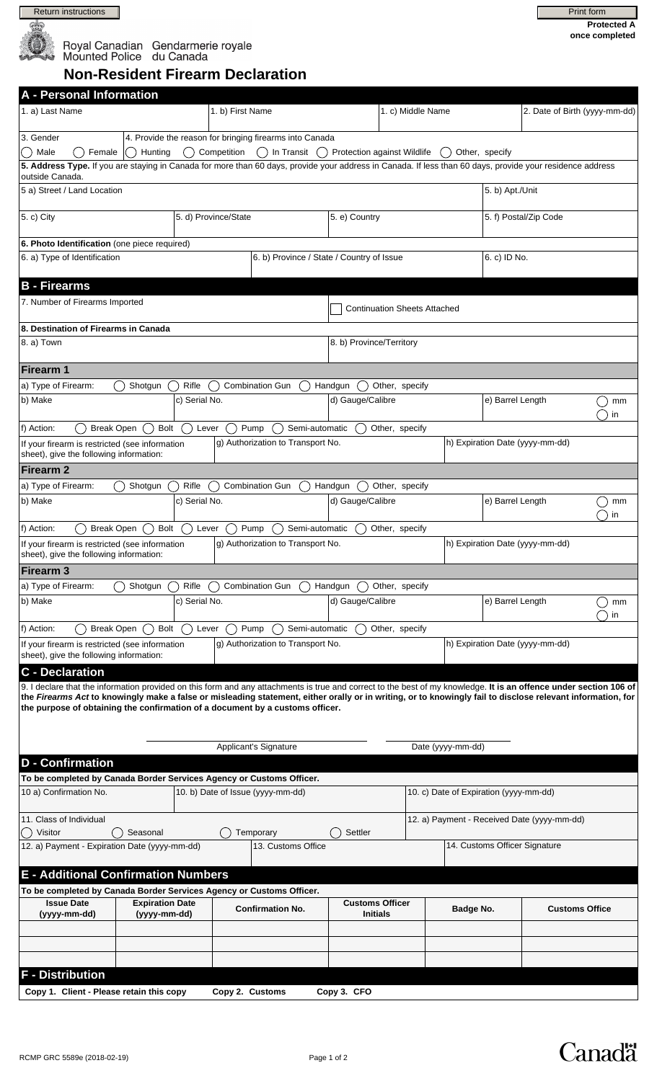

# Royal Canadian Gendarmerie royale<br>Mounted Police du Canada

| Print form                           |  |
|--------------------------------------|--|
| <b>Protected A</b><br>once completed |  |

**Non-Resident Firearm Declaration**

| <b>A</b> - Personal Information                                                                                                                                                                                                                                                                                                                                                                                    |                        |               |                    |                                   |                                           |                   |                       |                                        |                                             |                                 |          |  |
|--------------------------------------------------------------------------------------------------------------------------------------------------------------------------------------------------------------------------------------------------------------------------------------------------------------------------------------------------------------------------------------------------------------------|------------------------|---------------|--------------------|-----------------------------------|-------------------------------------------|-------------------|-----------------------|----------------------------------------|---------------------------------------------|---------------------------------|----------|--|
| 1. a) Last Name                                                                                                                                                                                                                                                                                                                                                                                                    |                        |               | 1. b) First Name   |                                   |                                           | 1. c) Middle Name |                       |                                        |                                             | 2. Date of Birth (yyyy-mm-dd)   |          |  |
| 3. Gender<br>4. Provide the reason for bringing firearms into Canada                                                                                                                                                                                                                                                                                                                                               |                        |               |                    |                                   |                                           |                   |                       |                                        |                                             |                                 |          |  |
| Female<br>Competition<br>( ) In Transit<br>Male<br>Hunting<br>Protection against Wildlife<br>Other, specify                                                                                                                                                                                                                                                                                                        |                        |               |                    |                                   |                                           |                   |                       |                                        |                                             |                                 |          |  |
| 5. Address Type. If you are staying in Canada for more than 60 days, provide your address in Canada. If less than 60 days, provide your residence address<br>outside Canada.                                                                                                                                                                                                                                       |                        |               |                    |                                   |                                           |                   |                       |                                        |                                             |                                 |          |  |
| 5 a) Street / Land Location                                                                                                                                                                                                                                                                                                                                                                                        |                        |               |                    |                                   |                                           |                   |                       |                                        |                                             | 5. b) Apt./Unit                 |          |  |
| $(5. c)$ City                                                                                                                                                                                                                                                                                                                                                                                                      | 5. d) Province/State   |               |                    | 5. e) Country                     |                                           |                   | 5. f) Postal/Zip Code |                                        |                                             |                                 |          |  |
| 6. Photo Identification (one piece required)                                                                                                                                                                                                                                                                                                                                                                       |                        |               |                    |                                   |                                           |                   |                       |                                        |                                             |                                 |          |  |
| 6. a) Type of Identification                                                                                                                                                                                                                                                                                                                                                                                       |                        |               |                    |                                   | 6. b) Province / State / Country of Issue |                   |                       |                                        | 6. c) ID No.                                |                                 |          |  |
| <b>B</b> - Firearms                                                                                                                                                                                                                                                                                                                                                                                                |                        |               |                    |                                   |                                           |                   |                       |                                        |                                             |                                 |          |  |
| 7. Number of Firearms Imported                                                                                                                                                                                                                                                                                                                                                                                     |                        |               |                    |                                   | <b>Continuation Sheets Attached</b>       |                   |                       |                                        |                                             |                                 |          |  |
| 8. Destination of Firearms in Canada                                                                                                                                                                                                                                                                                                                                                                               |                        |               |                    |                                   |                                           |                   |                       |                                        |                                             |                                 |          |  |
| 8. a) Town                                                                                                                                                                                                                                                                                                                                                                                                         |                        |               |                    |                                   | 8. b) Province/Territory                  |                   |                       |                                        |                                             |                                 |          |  |
| <b>Firearm 1</b>                                                                                                                                                                                                                                                                                                                                                                                                   |                        |               |                    |                                   |                                           |                   |                       |                                        |                                             |                                 |          |  |
| a) Type of Firearm:                                                                                                                                                                                                                                                                                                                                                                                                | Shotgun                | Rifle         |                    | <b>Combination Gun</b>            | Handgun                                   | Other, specify    |                       |                                        |                                             |                                 |          |  |
| b) Make                                                                                                                                                                                                                                                                                                                                                                                                            | c) Serial No.          |               |                    |                                   |                                           | d) Gauge/Calibre  |                       |                                        | e) Barrel Length                            |                                 | mm<br>in |  |
| <b>Break Open</b><br>f) Action:                                                                                                                                                                                                                                                                                                                                                                                    | Bolt                   | Lever         |                    | Pump<br>Semi-automatic            |                                           | Other, specify    |                       |                                        |                                             |                                 |          |  |
| g) Authorization to Transport No.<br>If your firearm is restricted (see information<br>sheet), give the following information:                                                                                                                                                                                                                                                                                     |                        |               |                    |                                   |                                           |                   |                       |                                        | h) Expiration Date (yyyy-mm-dd)             |                                 |          |  |
| Firearm 2                                                                                                                                                                                                                                                                                                                                                                                                          |                        |               |                    |                                   |                                           |                   |                       |                                        |                                             |                                 |          |  |
| a) Type of Firearm:                                                                                                                                                                                                                                                                                                                                                                                                | Shotgun                | Rifle         |                    | <b>Combination Gun</b>            | Handgun                                   | Other, specify    |                       |                                        |                                             |                                 |          |  |
| b) Make<br>c) Serial No.                                                                                                                                                                                                                                                                                                                                                                                           |                        |               |                    |                                   |                                           | d) Gauge/Calibre  |                       |                                        | e) Barrel Length<br>mm<br>in                |                                 |          |  |
| Break Open<br>f) Action:                                                                                                                                                                                                                                                                                                                                                                                           | Bolt                   |               | Lever              | Pump<br>Semi-automatic            |                                           | Other, specify    |                       |                                        |                                             |                                 |          |  |
| If your firearm is restricted (see information<br>sheet), give the following information:                                                                                                                                                                                                                                                                                                                          |                        |               |                    | g) Authorization to Transport No. |                                           |                   |                       |                                        |                                             | h) Expiration Date (yyyy-mm-dd) |          |  |
| Firearm <sub>3</sub>                                                                                                                                                                                                                                                                                                                                                                                               |                        |               |                    |                                   |                                           |                   |                       |                                        |                                             |                                 |          |  |
| a) Type of Firearm:                                                                                                                                                                                                                                                                                                                                                                                                | Shotgun                | Rifle         |                    | <b>Combination Gun</b>            | Handgun                                   | Other, specify    |                       |                                        |                                             |                                 |          |  |
| b) Make                                                                                                                                                                                                                                                                                                                                                                                                            |                        | c) Serial No. |                    |                                   | d) Gauge/Calibre                          |                   |                       |                                        | e) Barrel Length                            |                                 | mm<br>in |  |
| <b>Break Open</b><br>f) Action:                                                                                                                                                                                                                                                                                                                                                                                    | Bolt                   | Lever         |                    | Pump                              | Semi-automatic                            | Other, specify    |                       |                                        |                                             |                                 |          |  |
| If your firearm is restricted (see information<br>sheet), give the following information:                                                                                                                                                                                                                                                                                                                          |                        |               |                    | g) Authorization to Transport No. |                                           |                   |                       |                                        | h) Expiration Date (yyyy-mm-dd)             |                                 |          |  |
| <b>C</b> - Declaration                                                                                                                                                                                                                                                                                                                                                                                             |                        |               |                    |                                   |                                           |                   |                       |                                        |                                             |                                 |          |  |
| 9. I declare that the information provided on this form and any attachments is true and correct to the best of my knowledge. It is an offence under section 106 of<br>the Firearms Act to knowingly make a false or misleading statement, either orally or in writing, or to knowingly fail to disclose relevant information, for<br>the purpose of obtaining the confirmation of a document by a customs officer. |                        |               |                    |                                   |                                           |                   |                       |                                        |                                             |                                 |          |  |
|                                                                                                                                                                                                                                                                                                                                                                                                                    |                        |               |                    | Applicant's Signature             |                                           |                   |                       | Date (yyyy-mm-dd)                      |                                             |                                 |          |  |
| <b>D</b> - Confirmation                                                                                                                                                                                                                                                                                                                                                                                            |                        |               |                    |                                   |                                           |                   |                       |                                        |                                             |                                 |          |  |
| To be completed by Canada Border Services Agency or Customs Officer.<br>10 a) Confirmation No.                                                                                                                                                                                                                                                                                                                     |                        |               |                    | 10. b) Date of Issue (yyyy-mm-dd) |                                           |                   |                       | 10. c) Date of Expiration (yyyy-mm-dd) |                                             |                                 |          |  |
| 11. Class of Individual                                                                                                                                                                                                                                                                                                                                                                                            |                        |               |                    |                                   |                                           |                   |                       |                                        | 12. a) Payment - Received Date (yyyy-mm-dd) |                                 |          |  |
| Visitor<br>Seasonal<br>Temporary<br>12. a) Payment - Expiration Date (yyyy-mm-dd)                                                                                                                                                                                                                                                                                                                                  |                        |               | 13. Customs Office | Settler                           |                                           |                   |                       | 14. Customs Officer Signature          |                                             |                                 |          |  |
|                                                                                                                                                                                                                                                                                                                                                                                                                    |                        |               |                    |                                   |                                           |                   |                       |                                        |                                             |                                 |          |  |
| <b>E - Additional Confirmation Numbers</b>                                                                                                                                                                                                                                                                                                                                                                         |                        |               |                    |                                   |                                           |                   |                       |                                        |                                             |                                 |          |  |
| To be completed by Canada Border Services Agency or Customs Officer.<br><b>Issue Date</b>                                                                                                                                                                                                                                                                                                                          | <b>Expiration Date</b> |               |                    |                                   | <b>Customs Officer</b>                    |                   |                       |                                        |                                             |                                 |          |  |
| (yyyy-mm-dd)                                                                                                                                                                                                                                                                                                                                                                                                       | (yyyy-mm-dd)           |               |                    | <b>Confirmation No.</b>           | <b>Initials</b>                           |                   |                       | Badge No.                              |                                             | <b>Customs Office</b>           |          |  |
|                                                                                                                                                                                                                                                                                                                                                                                                                    |                        |               |                    |                                   |                                           |                   |                       |                                        |                                             |                                 |          |  |
|                                                                                                                                                                                                                                                                                                                                                                                                                    |                        |               |                    |                                   |                                           |                   |                       |                                        |                                             |                                 |          |  |
| <b>F</b> - Distribution                                                                                                                                                                                                                                                                                                                                                                                            |                        |               |                    |                                   |                                           |                   |                       |                                        |                                             |                                 |          |  |
| Copy 1. Client - Please retain this copy<br>Copy 2. Customs<br>Copy 3. CFO                                                                                                                                                                                                                                                                                                                                         |                        |               |                    |                                   |                                           |                   |                       |                                        |                                             |                                 |          |  |